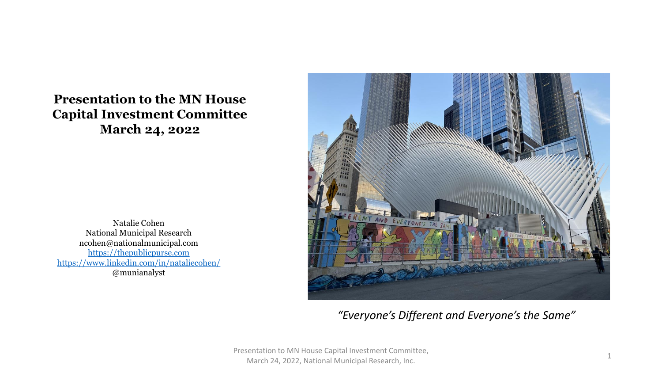#### **Presentation to the MN House Capital Investment Committee March 24, 2022**

Natalie Cohen National Municipal Research ncohen@nationalmunicipal.com [https://thepublicpurse.com](https://thepublicpurse.com/) <https://www.linkedin.com/in/nataliecohen/> @munianalyst



*"Everyone's Different and Everyone's the Same"*

Presentation to MN House Capital Investment Committee, March 24, 2022, National Municipal Research, Inc. <sup>1</sup>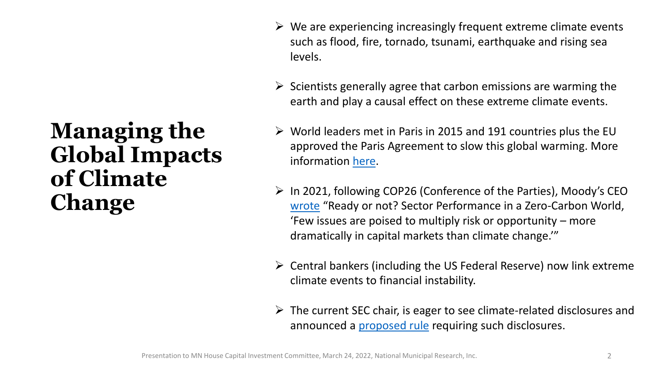#### **Managing the Global Impacts of Climate Change**

- $\triangleright$  We are experiencing increasingly frequent extreme climate events such as flood, fire, tornado, tsunami, earthquake and rising sea levels.
- $\triangleright$  Scientists generally agree that carbon emissions are warming the earth and play a causal effect on these extreme climate events.
- $\triangleright$  World leaders met in Paris in 2015 and 191 countries plus the EU approved the Paris Agreement to slow this global warming. More information [here.](https://treaties.un.org/Pages/ViewDetails.aspx?src=TREATY&mtdsg_no=XXVII-7-d&chapter=27&clang=_en)
- ➢ In 2021, following COP26 (Conference of the Parties), Moody's CEO [wrote](chrome-extension://efaidnbmnnnibpcajpcglclefindmkaj/viewer.html?pdfurl=https%3A%2F%2Fwww.moodys.com%2Fsites%2Fproducts%2FProductAttachments%2FMoodys_ReadyOrNot.pdf&clen=4354799&chunk=true) "Ready or not? Sector Performance in a Zero-Carbon World, 'Few issues are poised to multiply risk or opportunity – more dramatically in capital markets than climate change.'"
- $\triangleright$  Central bankers (including the US Federal Reserve) now link extreme climate events to financial instability.
- $\triangleright$  The current SEC chair, is eager to see climate-related disclosures and announced a **[proposed rule](https://www.sec.gov/news/press-release/2022-46)** requiring such disclosures.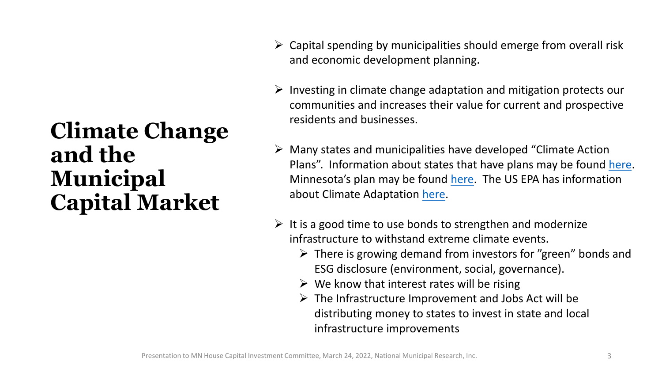# **Climate Change and the Municipal Capital Market**

- $\triangleright$  Capital spending by municipalities should emerge from overall risk and economic development planning.
- $\triangleright$  Investing in climate change adaptation and mitigation protects our communities and increases their value for current and prospective residents and businesses.
- ➢ Many states and municipalities have developed "Climate Action Plans". Information about states that have plans may be found [here](https://www.c2es.org/document/climate-action-plans/). Minnesota's plan may be found [here](https://www.house.leg.state.mn.us/dflpdf/990649f7-d9db-4ffd-a5b5-496baddbb282.pdf). The US EPA has information about Climate Adaptation [here.](https://www.epa.gov/climate-adaptation/climate-adaptation-plan)
- $\triangleright$  It is a good time to use bonds to strengthen and modernize infrastructure to withstand extreme climate events.
	- ➢ There is growing demand from investors for "green" bonds and ESG disclosure (environment, social, governance).
	- $\triangleright$  We know that interest rates will be rising
	- $\triangleright$  The Infrastructure Improvement and Jobs Act will be distributing money to states to invest in state and local infrastructure improvements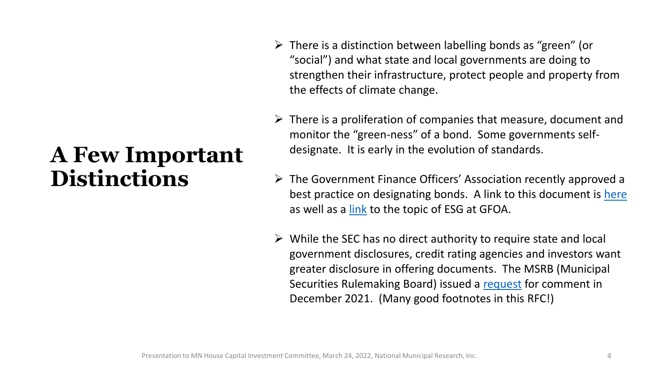# **A Few Important Distinctions**

- ➢ There is a distinction between labelling bonds as "green" (or "social") and what state and local governments are doing to strengthen their infrastructure, protect people and property from the effects of climate change.
- $\triangleright$  There is a proliferation of companies that measure, document and monitor the "green-ness" of a bond. Some governments selfdesignate. It is early in the evolution of standards.
- ➢ The Government Finance Officers' Association recently approved a best practice on designating bonds. A link to this document is [here](https://www.gfoa.org/materials/marketing--bonds-esg) as well as a [link](https://www.gfoa.org/search?q=ESG) to the topic of ESG at GFOA.
- $\triangleright$  While the SEC has no direct authority to require state and local government disclosures, credit rating agencies and investors want greater disclosure in offering documents. The MSRB (Municipal Securities Rulemaking Board) issued a [request](chrome-extension://efaidnbmnnnibpcajpcglclefindmkaj/viewer.html?pdfurl=https%3A%2F%2Fwww.msrb.org%2F-%2Fmedia%2FFiles%2FRegulatory-Notices%2FRFCs%2F2021-17.ashx&clen=240064&chunk=true&pdffilename=2021-17.pdf) for comment in December 2021. (Many good footnotes in this RFC!)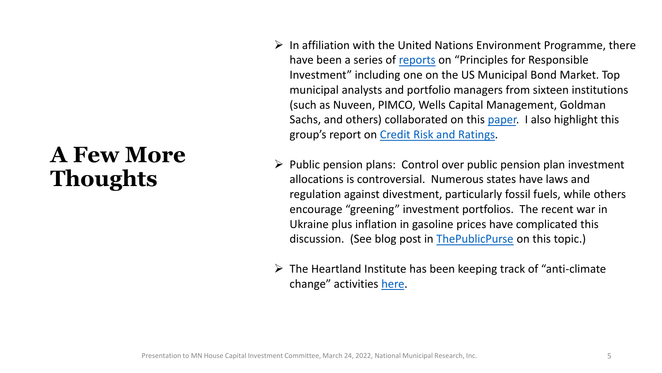# **A Few More Thoughts**

- $\triangleright$  In affiliation with the United Nations Environment Programme, there have been a series of [reports](https://www.unpri.org/) on "Principles for Responsible Investment" including one on the US Municipal Bond Market. Top municipal analysts and portfolio managers from sixteen institutions (such as Nuveen, PIMCO, Wells Capital Management, Goldman Sachs, and others) collaborated on this [paper.](chrome-extension://efaidnbmnnnibpcajpcglclefindmkaj/viewer.html?pdfurl=https%3A%2F%2Fwww.unpri.org%2Fdownload%3Fac%3D14049&pdffilename=pri_esgintegrationtheusmunicipal_515137.pdf) I also highlight this group's report on [Credit Risk and Ratings.](https://www.unpri.org/investment-tools/fixed-income/credit-risk-and-ratings)
- $\triangleright$  Public pension plans: Control over public pension plan investment allocations is controversial. Numerous states have laws and regulation against divestment, particularly fossil fuels, while others encourage "greening" investment portfolios. The recent war in Ukraine plus inflation in gasoline prices have complicated this discussion. (See blog post in [ThePublicPurse](https://thepublicpurse.com/2022/03/15/when-e-and-s-in-esg-collide/) on this topic.)
- $\triangleright$  The Heartland Institute has been keeping track of "anti-climate" change" activities [here.](https://www.heartland.org/topics/climate-change/)